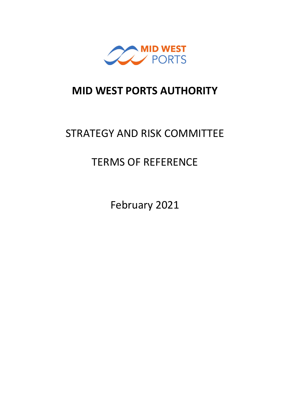

# **MID WEST PORTS AUTHORITY**

# STRATEGY AND RISK COMMITTEE

# TERMS OF REFERENCE

February 2021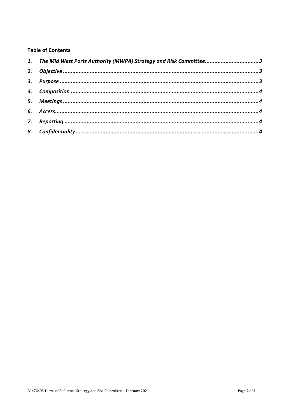# **Table of Contents**

| 1. The Mid West Ports Authority (MWPA) Strategy and Risk Committee3 |  |
|---------------------------------------------------------------------|--|
|                                                                     |  |
|                                                                     |  |
|                                                                     |  |
|                                                                     |  |
|                                                                     |  |
|                                                                     |  |
|                                                                     |  |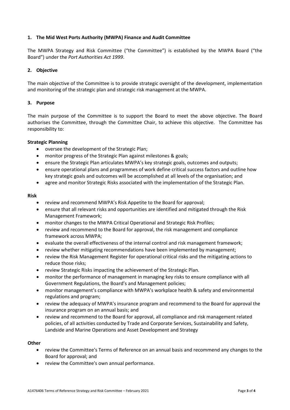#### <span id="page-2-0"></span>**1. The Mid West Ports Authority (MWPA) Finance and Audit Committee**

The MWPA Strategy and Risk Committee ("the Committee") is established by the MWPA Board ("the Board") under the *Port Authorities Act 1999*.

## <span id="page-2-1"></span>**2. Objective**

The main objective of the Committee is to provide strategic oversight of the development, implementation and monitoring of the strategic plan and strategic risk management at the MWPA.

### <span id="page-2-2"></span>**3. Purpose**

The main purpose of the Committee is to support the Board to meet the above objective. The Board authorises the Committee, through the Committee Chair, to achieve this objective. The Committee has responsibility to:

### **Strategic Planning**

- oversee the development of the Strategic Plan;
- monitor progress of the Strategic Plan against milestones & goals;
- ensure the Strategic Plan articulates MWPA's key strategic goals, outcomes and outputs;
- ensure operational plans and programmes of work define critical success factors and outline how key strategic goals and outcomes will be accomplished at all levels of the organisation; and
- agree and monitor Strategic Risks associated with the implementation of the Strategic Plan.

#### **Risk**

- review and recommend MWPA's Risk Appetite to the Board for approval;
- ensure that all relevant risks and opportunities are identified and mitigated through the Risk Management Framework;
- monitor changes to the MWPA Critical Operational and Strategic Risk Profiles;
- review and recommend to the Board for approval, the risk management and compliance framework across MWPA;
- evaluate the overall effectiveness of the internal control and risk management framework;
- review whether mitigating recommendations have been implemented by management;
- review the Risk Management Register for operational critical risks and the mitigating actions to reduce those risks;
- review Strategic Risks impacting the achievement of the Strategic Plan.
- monitor the performance of management in managing key risks to ensure compliance with all Government Regulations, the Board's and Management policies;
- monitor management's compliance with MWPA's workplace health & safety and environmental regulations and program;
- review the adequacy of MWPA's insurance program and recommend to the Board for approval the insurance program on an annual basis; and
- review and recommend to the Board for approval, all compliance and risk management related policies, of all activities conducted by Trade and Corporate Services, Sustainability and Safety, Landside and Marine Operations and Asset Development and Strategy

#### **Other**

- review the Committee's Terms of Reference on an annual basis and recommend any changes to the Board for approval; and
- review the Committee's own annual performance.